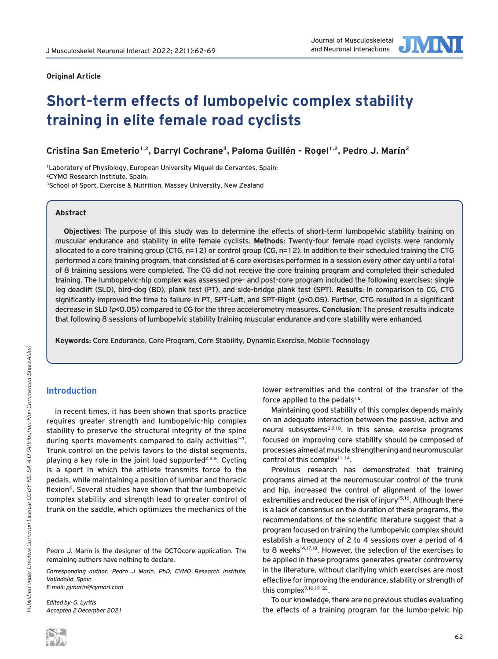# Journal of Musculoskeletal

# **Original Article**

# **Short-term effects of lumbopelvic complex stability training in elite female road cyclists**

**Cristina San Emeterio1,2, Darryl Cochrane3, Paloma Guillén - Rogel1,2, Pedro J. Marín2**

<sup>1</sup>Laboratory of Physiology, European University Miguel de Cervantes, Spain; 2CYMO Research Institute, Spain; <sup>3</sup>School of Sport, Exercise & Nutrition, Massey University, New Zealand

### **Abstract**

**Objectives**: The purpose of this study was to determine the effects of short-term lumbopelvic stability training on muscular endurance and stability in elite female cyclists. **Methods**: Twenty-four female road cyclists were randomly allocated to a core training group (CTG, n=12) or control group (CG, n=12). In addition to their scheduled training the CTG performed a core training program, that consisted of 6 core exercises performed in a session every other day until a total of 8 training sessions were completed. The CG did not receive the core training program and completed their scheduled training. The lumbopelvic-hip complex was assessed pre- and post-core program included the following exercises: single leg deadlift (SLD), bird-dog (BD), plank test (PT), and side-bridge plank test (SPT). **Results**: In comparison to CG, CTG significantly improved the time to failure in PT, SPT-Left, and SPT-Right (*p*<0.05). Further, CTG resulted in a significant decrease in SLD (*p*<0.05) compared to CG for the three accelerometry measures. **Conclusion**: The present results indicate that following 8 sessions of lumbopelvic stability training muscular endurance and core stability were enhanced.

**Keywords:** Core Endurance, Core Program, Core Stability, Dynamic Exercise, Mobile Technology

# **Introduction**

In recent times, it has been shown that sports practice requires greater strength and lumbopelvic-hip complex stability to preserve the structural integrity of the spine during sports movements compared to daily activities $1-3$ . Trunk control on the pelvis favors to the distal segments, playing a key role in the joint load supported<sup>2,4,5</sup>. Cycling is a sport in which the athlete transmits force to the pedals, while maintaining a position of lumbar and thoracic flexion<sup>6</sup>. Several studies have shown that the lumbopelvic complex stability and strength lead to greater control of trunk on the saddle, which optimizes the mechanics of the

Pedro J. Marín is the designer of the OCTOcore application. The remaining authors have nothing to declare.

*Corresponding author: Pedro J Marín, PhD, CYMO Research Institute, Valladolid, Spain* 

*E-mail: pjmarin@cymori.com* 

*Edited by: G. Lyritis Accepted 2 December 2021* lower extremities and the control of the transfer of the force applied to the pedals $7,8$ .

Maintaining good stability of this complex depends mainly on an adequate interaction between the passive, active and neural subsystems3,9,10. In this sense, exercise programs focused on improving core stability should be composed of processes aimed at muscle strengthening and neuromuscular control of this complex<sup>11-14</sup>.

Previous research has demonstrated that training programs aimed at the neuromuscular control of the trunk and hip, increased the control of alignment of the lower extremities and reduced the risk of injury<sup>15,16</sup>. Although there is a lack of consensus on the duration of these programs, the recommendations of the scientific literature suggest that a program focused on training the lumbopelvic complex should establish a frequency of 2 to 4 sessions over a period of 4 to 8 weeks<sup>14,17,18</sup>. However, the selection of the exercises to be applied in these programs generates greater controversy in the literature, without clarifying which exercises are most effective for improving the endurance, stability or strength of this complex<sup>9,10,19-22</sup>.

To our knowledge, there are no previous studies evaluating the effects of a training program for the lumbo-pelvic hip

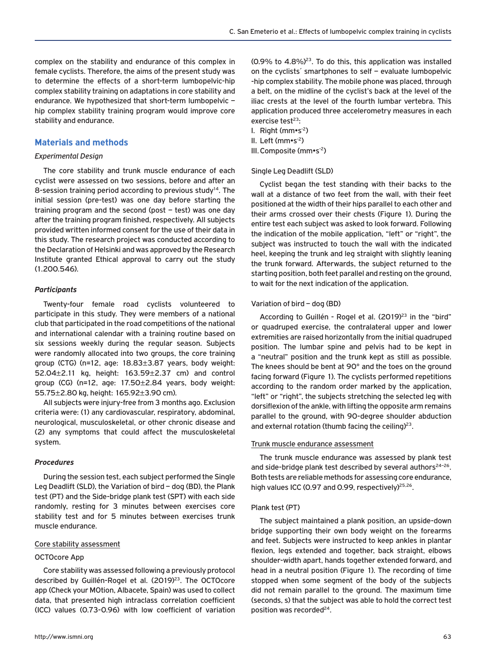complex on the stability and endurance of this complex in female cyclists. Therefore, the aims of the present study was to determine the effects of a short-term lumbopelvic-hip complex stability training on adaptations in core stability and endurance. We hypothesized that short-term lumbopelvic – hip complex stability training program would improve core stability and endurance.

# **Materials and methods**

#### *Experimental Design*

The core stability and trunk muscle endurance of each cyclist were assessed on two sessions, before and after an 8-session training period according to previous study<sup>14</sup>. The initial session (pre-test) was one day before starting the training program and the second (post – test) was one day after the training program finished, respectively. All subjects provided written informed consent for the use of their data in this study. The research project was conducted according to the Declaration of Helsinki and was approved by the Research Institute granted Ethical approval to carry out the study (1.200.546).

#### *Participants*

Twenty-four female road cyclists volunteered to participate in this study. They were members of a national club that participated in the road competitions of the national and international calendar with a training routine based on six sessions weekly during the regular season. Subjects were randomly allocated into two groups, the core training group (CTG) (n=12, age: 18.83±3.87 years, body weight: 52.04±2.11 kg, height: 163.59±2.37 cm) and control group (CG) (n=12, age: 17.50±2.84 years, body weight: 55.75±2.80 kg, height: 165.92±3.90 cm).

All subjects were injury-free from 3 months ago. Exclusion criteria were: (1) any cardiovascular, respiratory, abdominal, neurological, musculoskeletal, or other chronic disease and (2) any symptoms that could affect the musculoskeletal system.

#### *Procedures*

During the session test, each subject performed the Single Leg Deadlift (SLD), the Variation of bird – dog (BD), the Plank test (PT) and the Side-bridge plank test (SPT) with each side randomly, resting for 3 minutes between exercises core stability test and for 5 minutes between exercises trunk muscle endurance.

#### Core stability assessment

#### OCTOcore App

Core stability was assessed following a previously protocol described by Guillén-Rogel et al. (2019)<sup>23</sup>. The OCTOcore app (Check your MOtion, Albacete, Spain) was used to collect data, that presented high intraclass correlation coefficient (ICC) values (0.73-0.96) with low coefficient of variation

 $(0.9\%$  to  $4.8\%)^{23}$ . To do this, this application was installed on the cyclists´ smartphones to self – evaluate lumbopelvic -hip complex stability. The mobile phone was placed, through a belt, on the midline of the cyclist's back at the level of the iliac crests at the level of the fourth lumbar vertebra. This application produced three accelerometry measures in each exercise test $23$ :

I. Right ( $mm \cdot s^{-2}$ ) II. Left ( $mm \cdot s^{-2}$ ) III. Composite (mm•s-2)

#### Single Leg Deadlift (SLD)

Cyclist began the test standing with their backs to the wall at a distance of two feet from the wall, with their feet positioned at the width of their hips parallel to each other and their arms crossed over their chests (Figure 1). During the entire test each subject was asked to look forward. Following the indication of the mobile application, "left" or "right", the subject was instructed to touch the wall with the indicated heel, keeping the trunk and leg straight with slightly leaning the trunk forward. Afterwards, the subject returned to the starting position, both feet parallel and resting on the ground, to wait for the next indication of the application.

#### Variation of bird – dog (BD)

According to Guillén - Rogel et al. (2019)<sup>23</sup> in the "bird" or quadruped exercise, the contralateral upper and lower extremities are raised horizontally from the initial quadruped position. The lumbar spine and pelvis had to be kept in a "neutral" position and the trunk kept as still as possible. The knees should be bent at 90° and the toes on the ground facing forward (Figure 1). The cyclists performed repetitions according to the random order marked by the application, "left" or "right", the subjects stretching the selected leg with dorsiflexion of the ankle, with lifting the opposite arm remains parallel to the ground, with 90-degree shoulder abduction and external rotation (thumb facing the ceiling) $23$ .

#### Trunk muscle endurance assessment

The trunk muscle endurance was assessed by plank test and side-bridge plank test described by several authors $24-26$ . Both tests are reliable methods for assessing core endurance, high values ICC (0.97 and 0.99, respectively)<sup>25,26</sup>.

#### Plank test (PT)

The subject maintained a plank position, an upside-down bridge supporting their own body weight on the forearms and feet. Subjects were instructed to keep ankles in plantar flexion, legs extended and together, back straight, elbows shoulder-width apart, hands together extended forward, and head in a neutral position (Figure 1). The recording of time stopped when some segment of the body of the subjects did not remain parallel to the ground. The maximum time (seconds, s) that the subject was able to hold the correct test position was recorded<sup>24</sup>.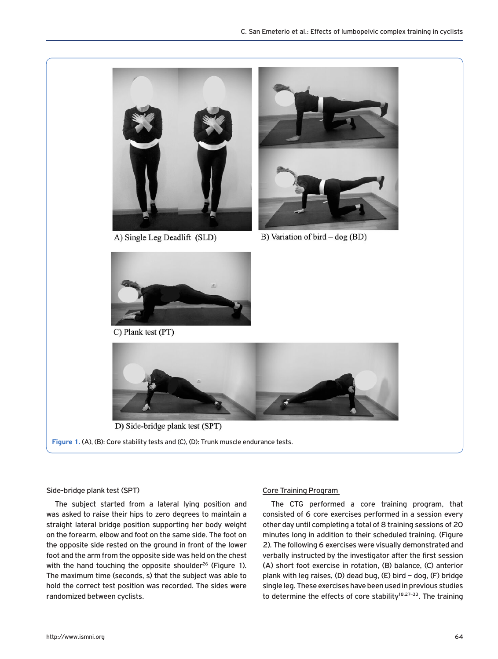

#### Side-bridge plank test (SPT)

The subject started from a lateral lying position and was asked to raise their hips to zero degrees to maintain a straight lateral bridge position supporting her body weight on the forearm, elbow and foot on the same side. The foot on the opposite side rested on the ground in front of the lower foot and the arm from the opposite side was held on the chest with the hand touching the opposite shoulder<sup>26</sup> (Figure 1). The maximum time (seconds, s) that the subject was able to hold the correct test position was recorded. The sides were randomized between cyclists.

# Core Training Program

The CTG performed a core training program, that consisted of 6 core exercises performed in a session every other day until completing a total of 8 training sessions of 20 minutes long in addition to their scheduled training. (Figure 2). The following 6 exercises were visually demonstrated and verbally instructed by the investigator after the first session (A) short foot exercise in rotation, (B) balance, (C) anterior plank with leg raises, (D) dead bug, (E) bird – dog, (F) bridge single leg. These exercises have been used in previous studies to determine the effects of core stability $18,27-33$ . The training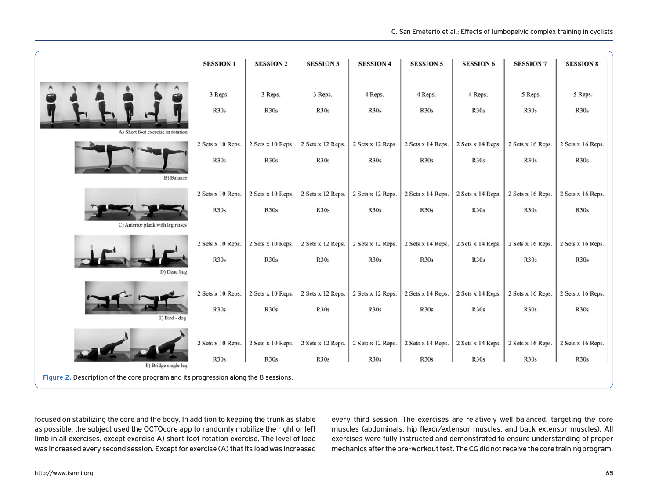

focused on stabilizing the core and the body. In addition to keeping the trunk as stable as possible, the subject used the OCTOcore app to randomly mobilize the right or left limb in all exercises, except exercise A) short foot rotation exercise. The level of load was increased every second session. Except for exercise (A) that its load was increased

every third session. The exercises are relatively well balanced, targeting the core muscles (abdominals, hip flexor/extensor muscles, and back extensor muscles). All exercises were fully instructed and demonstrated to ensure understanding of proper mechanics after the pre-workout test. The CG did not receive the core training program.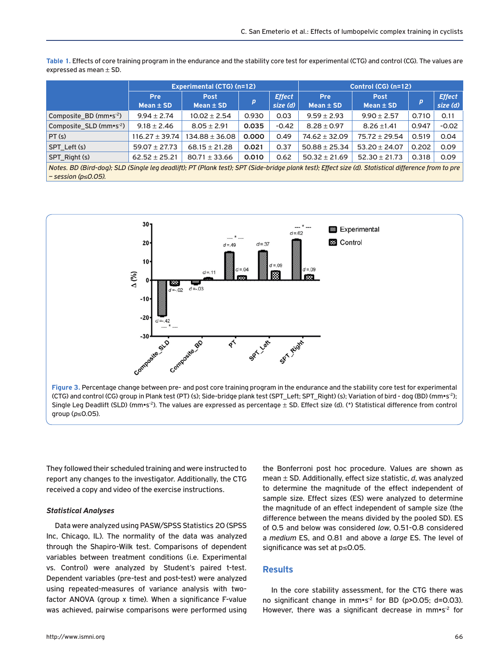|                                     | <b>Experimental (CTG) (n=12)</b> |                              |       |                           | Control (CG) (n=12)         |                              |       |                           |
|-------------------------------------|----------------------------------|------------------------------|-------|---------------------------|-----------------------------|------------------------------|-------|---------------------------|
|                                     | <b>Pre</b><br>Mean $\pm$ SD      | <b>Post</b><br>Mean $\pm$ SD | p     | <b>Effect</b><br>size (d) | <b>Pre</b><br>Mean $\pm$ SD | <b>Post</b><br>Mean $\pm$ SD | D     | <b>Effect</b><br>size (d) |
| Composite BD ( $mm \cdot s^{-2}$ )  | $9.94 \pm 2.74$                  | $10.02 \pm 2.54$             | 0.930 | 0.03                      | $9.59 \pm 2.93$             | $9.90 \pm 2.57$              | 0.710 | 0.11                      |
| Composite_SLD (mm•s <sup>-2</sup> ) | $9.18 \pm 2.46$                  | $8.05 \pm 2.91$              | 0.035 | $-0.42$                   | $8.28 \pm 0.97$             | $8.26 \pm 1.41$              | 0.947 | $-0.02$                   |
| PT(s)                               | $116.27 \pm 39.74$               | $134.88 \pm 36.08$           | 0.000 | 0.49                      | $74.62 \pm 32.09$           | $75.72 \pm 29.54$            | 0.519 | 0.04                      |
| SPT Left (s)                        | $59.07 \pm 27.73$                | $68.15 \pm 21.28$            | 0.021 | 0.37                      | $50.88 \pm 25.34$           | $53.20 \pm 24.07$            | 0.202 | 0.09                      |
| SPT Right (s)                       | $62.52 \pm 25.21$                | $80.71 \pm 33.66$            | 0.010 | 0.62                      | $50.32 \pm 21.69$           | $52.30 \pm 21.73$            | 0.318 | 0.09                      |
|                                     |                                  |                              |       |                           |                             |                              |       |                           |

**Table 1.** Effects of core training program in the endurance and the stability core test for experimental (CTG) and control (CG). The values are expressed as mean  $\pm$  SD.

*Notes. BD (Bird-dog); SLD (Single leg deadlift); PT (Plank test); SPT (Side-bridge plank test); Effect size (d). Statistical difference from to pre – session (p*≤*0.05).*



(CTG) and control (CG) group in Plank test (PT) (s); Side-bridge plank test (SPT\_Left; SPT\_Right) (s); Variation of bird - dog (BD) (mm•s-2); Single Leg Deadlift (SLD) ( $mm$ s<sup>2</sup>). The values are expressed as percentage  $\pm$  SD. Effect size (d). (\*) Statistical difference from control group (*p*≤0.05).

They followed their scheduled training and were instructed to report any changes to the investigator. Additionally, the CTG received a copy and video of the exercise instructions.

#### *Statistical Analyses*

Data were analyzed using PASW/SPSS Statistics 20 (SPSS Inc, Chicago, IL). The normality of the data was analyzed through the Shapiro-Wilk test. Comparisons of dependent variables between treatment conditions (i.e. Experimental vs. Control) were analyzed by Student's paired t-test. Dependent variables (pre-test and post-test) were analyzed using repeated-measures of variance analysis with twofactor ANOVA (group x time). When a significance F-value was achieved, pairwise comparisons were performed using the Bonferroni post hoc procedure. Values are shown as mean ± SD. Additionally, effect size statistic, *d*, was analyzed to determine the magnitude of the effect independent of sample size. Effect sizes (ES) were analyzed to determine the magnitude of an effect independent of sample size (the difference between the means divided by the pooled SD). ES of 0.5 and below was considered *low*, 0.51-0.8 considered a *medium* ES, and 0.81 and above a *large* ES. The level of significance was set at p≤0.05.

#### **Results**

In the core stability assessment, for the CTG there was no significant change in mm•s<sup>-2</sup> for BD (p>0.05; d=0.03). However, there was a significant decrease in mm•s<sup>-2</sup> for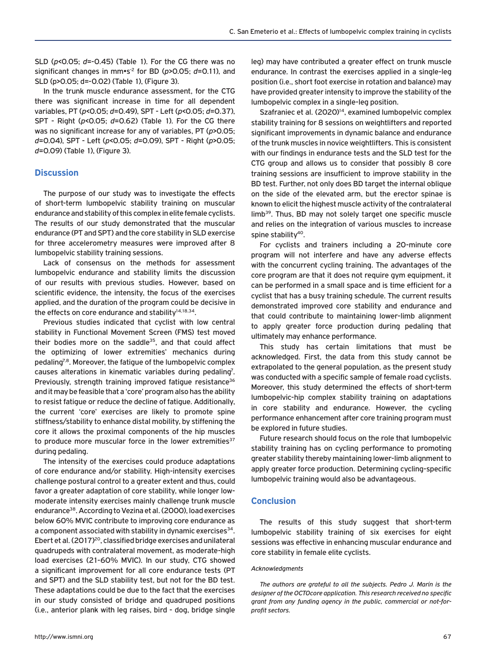SLD (*p*<0.05; *d*=-0.45) (Table 1). For the CG there was no significant changes in mm•s-2 for BD (*p*>0.05; *d*=0.11), and SLD (p>0.05; d=-0.02) (Table 1), (Figure 3).

In the trunk muscle endurance assessment, for the CTG there was significant increase in time for all dependent variables, PT (*p*<0.05; *d*=0.49), SPT - Left (*p*<0.05; *d*=0.37), SPT - Right (*p*<0.05; *d*=0.62) (Table 1). For the CG there was no significant increase for any of variables, PT (*p*>0.05; *d*=0.04), SPT - Left (*p*<0.05; *d*=0.09), SPT - Right (*p*>0.05; *d*=0.09) (Table 1), (Figure 3).

# **Discussion**

The purpose of our study was to investigate the effects of short-term lumbopelvic stability training on muscular endurance and stability of this complex in elite female cyclists. The results of our study demonstrated that the muscular endurance (PT and SPT) and the core stability in SLD exercise for three accelerometry measures were improved after 8 lumbopelvic stability training sessions.

Lack of consensus on the methods for assessment lumbopelvic endurance and stability limits the discussion of our results with previous studies. However, based on scientific evidence, the intensity, the focus of the exercises applied, and the duration of the program could be decisive in the effects on core endurance and stability $14,18,34$ .

Previous studies indicated that cyclist with low central stability in Functional Movement Screen (FMS) test moved their bodies more on the saddle<sup>35</sup>, and that could affect the optimizing of lower extremities' mechanics during pedaling<sup>7,8</sup>. Moreover, the fatigue of the lumbopelvic complex causes alterations in kinematic variables during pedaling<sup>7</sup>. Previously, strength training improved fatigue resistance<sup>36</sup> and it may be feasible that a 'core' program also has the ability to resist fatigue or reduce the decline of fatigue. Additionally, the current 'core' exercises are likely to promote spine stiffness/stability to enhance distal mobility, by stiffening the core it allows the proximal components of the hip muscles to produce more muscular force in the lower extremities $37$ during pedaling.

The intensity of the exercises could produce adaptations of core endurance and/or stability. High-intensity exercises challenge postural control to a greater extent and thus, could favor a greater adaptation of core stability, while longer lowmoderate intensity exercises mainly challenge trunk muscle endurance<sup>38</sup>. According to Vezina et al. (2000), load exercises below 60% MVIC contribute to improving core endurance as a component associated with stability in dynamic exercises<sup>34</sup>. Ebert et al. (2017)<sup>20</sup>, classified bridge exercises and unilateral quadrupeds with contralateral movement, as moderate-high load exercises (21-60% MVIC). In our study, CTG showed a significant improvement for all core endurance tests (PT and SPT) and the SLD stability test, but not for the BD test. These adaptations could be due to the fact that the exercises in our study consisted of bridge and quadruped positions (i.e., anterior plank with leg raises, bird - dog, bridge single

leg) may have contributed a greater effect on trunk muscle endurance. In contrast the exercises applied in a single-leg position (i.e., short foot exercise in rotation and balance) may have provided greater intensity to improve the stability of the lumbopelvic complex in a single-leg position.

Szafraniec et al. (2020)<sup>14</sup>, examined lumbopelvic complex stability training for 8 sessions on weightlifters and reported significant improvements in dynamic balance and endurance of the trunk muscles in novice weightlifters. This is consistent with our findings in endurance tests and the SLD test for the CTG group and allows us to consider that possibly 8 core training sessions are insufficient to improve stability in the BD test. Further, not only does BD target the internal oblique on the side of the elevated arm, but the erector spinae is known to elicit the highest muscle activity of the contralateral limb<sup>39</sup>. Thus, BD may not solely target one specific muscle and relies on the integration of various muscles to increase spine stability<sup>40</sup>.

For cyclists and trainers including a 20-minute core program will not interfere and have any adverse effects with the concurrent cycling training. The advantages of the core program are that it does not require gym equipment, it can be performed in a small space and is time efficient for a cyclist that has a busy training schedule. The current results demonstrated improved core stability and endurance and that could contribute to maintaining lower-limb alignment to apply greater force production during pedaling that ultimately may enhance performance.

This study has certain limitations that must be acknowledged. First, the data from this study cannot be extrapolated to the general population, as the present study was conducted with a specific sample of female road cyclists. Moreover, this study determined the effects of short-term lumbopelvic-hip complex stability training on adaptations in core stability and endurance. However, the cycling performance enhancement after core training program must be explored in future studies.

Future research should focus on the role that lumbopelvic stability training has on cycling performance to promoting greater stability thereby maintaining lower-limb alignment to apply greater force production. Determining cycling-specific lumbopelvic training would also be advantageous.

# **Conclusion**

The results of this study suggest that short-term lumbopelvic stability training of six exercises for eight sessions was effective in enhancing muscular endurance and core stability in female elite cyclists.

#### *Acknowledgments*

*The authors are grateful to all the subjects. Pedro J. Marín is the designer of the OCTOcore application. This research received no specific grant from any funding agency in the public, commercial or not-forprofit sectors.*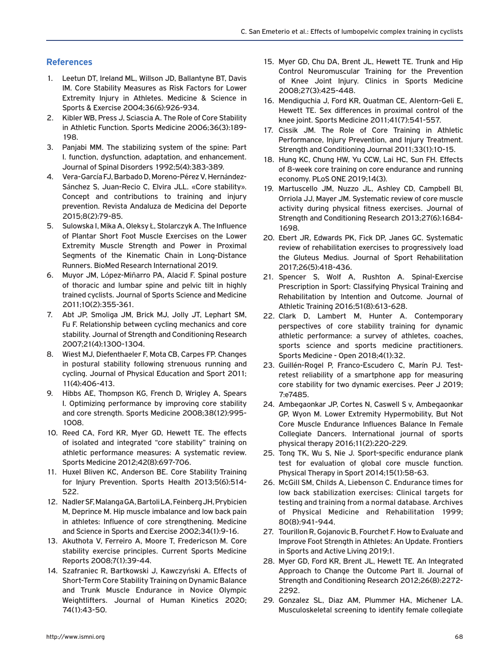# **References**

- 1. Leetun DT, Ireland ML, Willson JD, Ballantyne BT, Davis IM. Core Stability Measures as Risk Factors for Lower Extremity Injury in Athletes. Medicine & Science in Sports & Exercise 2004;36(6):926-934.
- 2. Kibler WB, Press J, Sciascia A. The Role of Core Stability in Athletic Function. Sports Medicine 2006;36(3):189- 198.
- 3. Panjabi MM. The stabilizing system of the spine: Part I. function, dysfunction, adaptation, and enhancement. Journal of Spinal Disorders 1992;5(4):383-389.
- 4. Vera-García FJ, Barbado D, Moreno-Pérez V, Hernández-Sánchez S, Juan-Recio C, Elvira JLL. «Core stability». Concept and contributions to training and injury prevention. Revista Andaluza de Medicina del Deporte 2015;8(2):79-85.
- 5. Sulowska I, Mika A, Oleksy Ł, Stolarczyk A. The Influence of Plantar Short Foot Muscle Exercises on the Lower Extremity Muscle Strength and Power in Proximal Segments of the Kinematic Chain in Long-Distance Runners. BioMed Research International 2019.
- 6. Muyor JM, López-Miñarro PA, Alacid F. Spinal posture of thoracic and lumbar spine and pelvic tilt in highly trained cyclists. Journal of Sports Science and Medicine 2011;10(2):355-361.
- 7. Abt JP, Smoliga JM, Brick MJ, Jolly JT, Lephart SM, Fu F. Relationship between cycling mechanics and core stability. Journal of Strength and Conditioning Research 2007;21(4):1300-1304.
- 8. Wiest MJ, Diefenthaeler F, Mota CB, Carpes FP. Changes in postural stability following strenuous running and cycling. Journal of Physical Education and Sport 2011; 11(4):406-413.
- 9. Hibbs AE, Thompson KG, French D, Wrigley A, Spears I. Optimizing performance by improving core stability and core strength. Sports Medicine 2008;38(12):995- 1008.
- 10. Reed CA, Ford KR, Myer GD, Hewett TE. The effects of isolated and integrated "core stability" training on athletic performance measures: A systematic review. Sports Medicine 2012;42(8):697-706.
- 11. Huxel Bliven KC, Anderson BE. Core Stability Training for Injury Prevention. Sports Health 2013;5(6):514- 522.
- 12. Nadler SF, Malanga GA, Bartoli LA, Feinberg JH, Prybicien M, Deprince M. Hip muscle imbalance and low back pain in athletes: Influence of core strengthening. Medicine and Science in Sports and Exercise 2002;34(1):9-16.
- 13. Akuthota V, Ferreiro A, Moore T, Fredericson M. Core stability exercise principles. Current Sports Medicine Reports 2008;7(1):39-44.
- 14. Szafraniec R, Bartkowski J, Kawczyński A. Effects of Short-Term Core Stability Training on Dynamic Balance and Trunk Muscle Endurance in Novice Olympic Weightlifters. Journal of Human Kinetics 2020; 74(1):43-50.
- 15. Myer GD, Chu DA, Brent JL, Hewett TE. Trunk and Hip Control Neuromuscular Training for the Prevention of Knee Joint Injury. Clinics in Sports Medicine 2008;27(3):425-448.
- 16. Mendiguchia J, Ford KR, Quatman CE, Alentorn-Geli E, Hewett TE. Sex differences in proximal control of the knee joint. Sports Medicine 2011;41(7):541-557.
- 17. Cissik JM. The Role of Core Training in Athletic Performance, Injury Prevention, and Injury Treatment. Strength and Conditioning Journal 2011;33(1):10-15.
- 18. Hung KC, Chung HW, Yu CCW, Lai HC, Sun FH. Effects of 8-week core training on core endurance and running economy. PLoS ONE 2019;14(3).
- 19. Martuscello JM, Nuzzo JL, Ashley CD, Campbell BI, Orriola JJ, Mayer JM. Systematic review of core muscle activity during physical fitness exercises. Journal of Strength and Conditioning Research 2013;27(6):1684- 1698.
- 20. Ebert JR, Edwards PK, Fick DP, Janes GC. Systematic review of rehabilitation exercises to progressively load the Gluteus Medius. Journal of Sport Rehabilitation 2017;26(5):418-436.
- 21. Spencer S, Wolf A, Rushton A. Spinal-Exercise Prescription in Sport: Classifying Physical Training and Rehabilitation by Intention and Outcome. Journal of Athletic Training 2016;51(8):613-628.
- 22. Clark D, Lambert M, Hunter A. Contemporary perspectives of core stability training for dynamic athletic performance: a survey of athletes, coaches, sports science and sports medicine practitioners. Sports Medicine - Open 2018;4(1):32.
- 23. Guillén-Rogel P, Franco-Escudero C, Marín PJ. Testretest reliability of a smartphone app for measuring core stability for two dynamic exercises. Peer J 2019; 7:e7485.
- 24. Ambegaonkar JP, Cortes N, Caswell S v, Ambegaonkar GP, Wyon M. Lower Extremity Hypermobility, But Not Core Muscle Endurance Influences Balance In Female Collegiate Dancers. International journal of sports physical therapy 2016;11(2):220-229.
- 25. Tong TK, Wu S, Nie J. Sport-specific endurance plank test for evaluation of global core muscle function. Physical Therapy in Sport 2014;15(1):58-63.
- 26. McGill SM, Childs A, Liebenson C. Endurance times for low back stabilization exercises: Clinical targets for testing and training from a normal database. Archives of Physical Medicine and Rehabilitation 1999; 80(8):941-944.
- 27. Tourillon R, Gojanovic B, Fourchet F. How to Evaluate and Improve Foot Strength in Athletes: An Update. Frontiers in Sports and Active Living 2019;1.
- 28. Myer GD, Ford KR, Brent JL, Hewett TE. An Integrated Approach to Change the Outcome Part II. Journal of Strength and Conditioning Research 2012;26(8):2272- 2292.
- 29. Gonzalez SL, Diaz AM, Plummer HA, Michener LA. Musculoskeletal screening to identify female collegiate